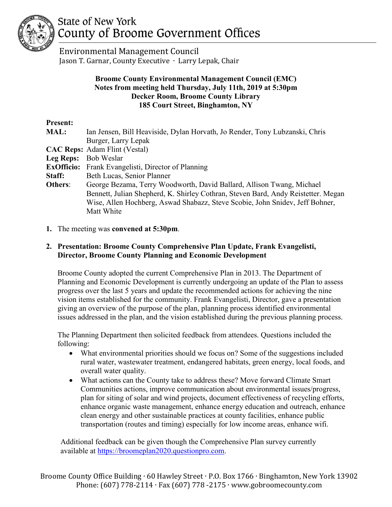

# **State of New York** County of Broome Government Offices

 Environmental Management Council Jason T. Garnar, County Executive ∙ Larry Lepak, Chair

#### **Broome County Environmental Management Council (EMC) Notes from meeting held Thursday, July 11th, 2019 at 5:30pm Decker Room, Broome County Library 185 Court Street, Binghamton, NY**

# **Present:**

| <b>MAL:</b>   | Ian Jensen, Bill Heaviside, Dylan Horvath, Jo Render, Tony Lubzanski, Chris       |
|---------------|-----------------------------------------------------------------------------------|
|               | Burger, Larry Lepak                                                               |
|               | <b>CAC Reps:</b> Adam Flint (Vestal)                                              |
|               | Leg Reps: Bob Weslar                                                              |
|               | <b>ExOfficio:</b> Frank Evangelisti, Director of Planning                         |
| <b>Staff:</b> | Beth Lucas, Senior Planner                                                        |
| Others:       | George Bezama, Terry Woodworth, David Ballard, Allison Twang, Michael             |
|               | Bennett, Julian Shepherd, K. Shirley Cothran, Steven Bard, Andy Reistetter. Megan |
|               | Wise, Allen Hochberg, Aswad Shabazz, Steve Scobie, John Snidev, Jeff Bohner,      |
|               | Matt White                                                                        |
|               |                                                                                   |

**1.** The meeting was **convened at 5:30pm**.

### **2. Presentation: Broome County Comprehensive Plan Update, Frank Evangelisti, Director, Broome County Planning and Economic Development**

Broome County adopted the current Comprehensive Plan in 2013. The Department of Planning and Economic Development is currently undergoing an update of the Plan to assess progress over the last 5 years and update the recommended actions for achieving the nine vision items established for the community. Frank Evangelisti, Director, gave a presentation giving an overview of the purpose of the plan, planning process identified environmental issues addressed in the plan, and the vision established during the previous planning process.

The Planning Department then solicited feedback from attendees. Questions included the following:

- What environmental priorities should we focus on? Some of the suggestions included rural water, wastewater treatment, endangered habitats, green energy, local foods, and overall water quality.
- What actions can the County take to address these? Move forward Climate Smart Communities actions, improve communication about environmental issues/progress, plan for siting of solar and wind projects, document effectiveness of recycling efforts, enhance organic waste management, enhance energy education and outreach, enhance clean energy and other sustainable practices at county facilities, enhance public transportation (routes and timing) especially for low income areas, enhance wifi.

Additional feedback can be given though the Comprehensive Plan survey currently available at [https://broomeplan2020.questionpro.com.](https://broomeplan2020.questionpro.com/)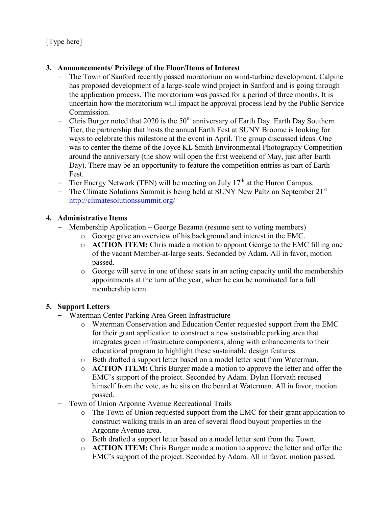[Type here]

### **3. Announcements/ Privilege of the Floor/Items of Interest**

- The Town of Sanford recently passed moratorium on wind-turbine development. Calpine has proposed development of a large-scale wind project in Sanford and is going through the application process. The moratorium was passed for a period of three months. It is uncertain how the moratorium will impact he approval process lead by the Public Service Commission.
- Chris Burger noted that 2020 is the  $50<sup>th</sup>$  anniversary of Earth Day. Earth Day Southern Tier, the partnership that hosts the annual Earth Fest at SUNY Broome is looking for ways to celebrate this milestone at the event in April. The group discussed ideas. One was to center the theme of the Joyce KL Smith Environmental Photography Competition around the anniversary (the show will open the first weekend of May, just after Earth Day). There may be an opportunity to feature the competition entries as part of Earth Fest.
- Tier Energy Network (TEN) will be meeting on July  $17<sup>th</sup>$  at the Huron Campus.
- The Climate Solutions Summit is being held at SUNY New Paltz on September  $21<sup>st</sup>$ <http://climatesolutionssummit.org/>

# **4. Administrative Items**

- Membership Application George Bezama (resume sent to voting members)
	- o George gave an overview of his background and interest in the EMC.
	- o **ACTION ITEM:** Chris made a motion to appoint George to the EMC filling one of the vacant Member-at-large seats. Seconded by Adam. All in favor, motion passed.
	- o George will serve in one of these seats in an acting capacity until the membership appointments at the turn of the year, when he can be nominated for a full membership term.

# **5. Support Letters**

- Waterman Center Parking Area Green Infrastructure
	- o Waterman Conservation and Education Center requested support from the EMC for their grant application to construct a new sustainable parking area that integrates green infrastructure components, along with enhancements to their educational program to highlight these sustainable design features.
	- o Beth drafted a support letter based on a model letter sent from Waterman.
	- o **ACTION ITEM:** Chris Burger made a motion to approve the letter and offer the EMC's support of the project. Seconded by Adam. Dylan Horvath recused himself from the vote, as he sits on the board at Waterman. All in favor, motion passed.
- Town of Union Argonne Avenue Recreational Trails
	- o The Town of Union requested support from the EMC for their grant application to construct walking trails in an area of several flood buyout properties in the Argonne Avenue area.
	- o Beth drafted a support letter based on a model letter sent from the Town.
	- o **ACTION ITEM:** Chris Burger made a motion to approve the letter and offer the EMC's support of the project. Seconded by Adam. All in favor, motion passed.